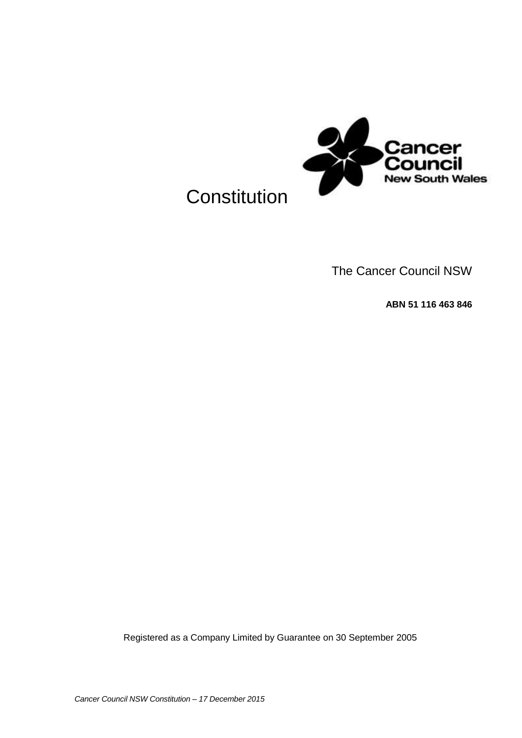

# **Constitution**

The Cancer Council NSW

**ABN 51 116 463 846**

Registered as a Company Limited by Guarantee on 30 September 2005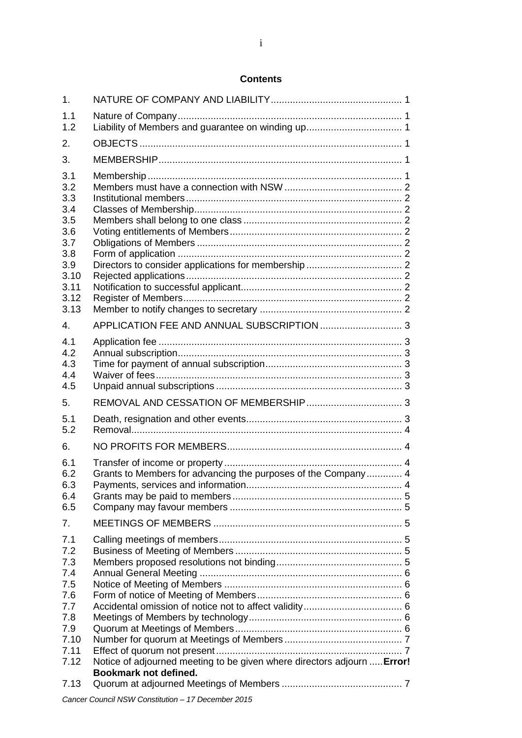# **Contents**

| 1.                                                                                          |                                                                                                  |  |
|---------------------------------------------------------------------------------------------|--------------------------------------------------------------------------------------------------|--|
| 1.1<br>1.2                                                                                  |                                                                                                  |  |
| 2.                                                                                          |                                                                                                  |  |
| 3.                                                                                          |                                                                                                  |  |
| 3.1<br>3.2<br>3.3<br>3.4<br>3.5<br>3.6<br>3.7<br>3.8<br>3.9<br>3.10<br>3.11<br>3.12<br>3.13 |                                                                                                  |  |
| 4.                                                                                          |                                                                                                  |  |
| 4.1<br>4.2<br>4.3<br>4.4<br>4.5                                                             |                                                                                                  |  |
| 5.                                                                                          |                                                                                                  |  |
| 5.1<br>5.2                                                                                  |                                                                                                  |  |
| 6.                                                                                          |                                                                                                  |  |
| 6.1<br>6.2<br>6.3<br>6.4<br>6.5                                                             | Grants to Members for advancing the purposes of the Company 4                                    |  |
| 7.                                                                                          |                                                                                                  |  |
| 7.1<br>7.2<br>7.3<br>7.4<br>7.5<br>7.6<br>7.7<br>7.8<br>7.9<br>7.10<br>7.11<br>7.12         | Notice of adjourned meeting to be given where directors adjourn  Error!<br>Bookmark not defined. |  |
| 7.13                                                                                        | Concor Council NCM Constitution 17 December 2015                                                 |  |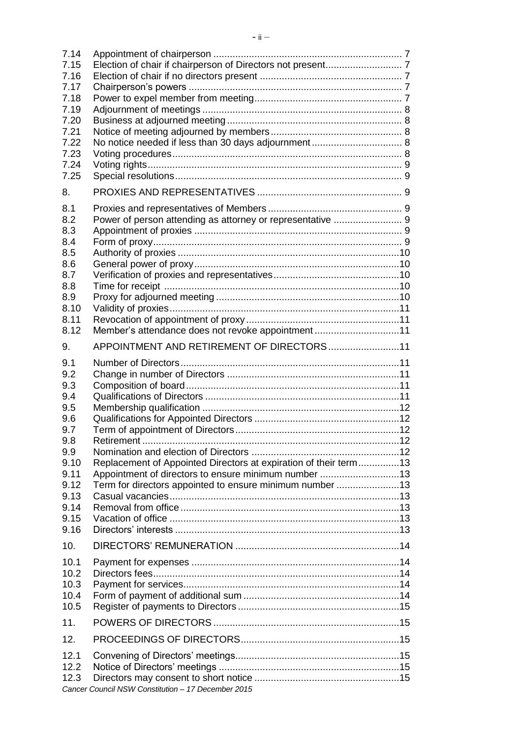| 7.14         |                                                                  |  |
|--------------|------------------------------------------------------------------|--|
| 7.15         |                                                                  |  |
| 7.16         |                                                                  |  |
| 7.17<br>7.18 |                                                                  |  |
| 7.19         |                                                                  |  |
| 7.20         |                                                                  |  |
| 7.21         |                                                                  |  |
| 7.22         |                                                                  |  |
| 7.23         |                                                                  |  |
| 7.24         |                                                                  |  |
| 7.25         |                                                                  |  |
| 8.           |                                                                  |  |
| 8.1          |                                                                  |  |
| 8.2          | Power of person attending as attorney or representative  9       |  |
| 8.3          |                                                                  |  |
| 8.4          |                                                                  |  |
| 8.5          |                                                                  |  |
| 8.6<br>8.7   |                                                                  |  |
| 8.8          |                                                                  |  |
| 8.9          |                                                                  |  |
| 8.10         |                                                                  |  |
| 8.11         |                                                                  |  |
| 8.12         | Member's attendance does not revoke appointment11                |  |
| 9.           | APPOINTMENT AND RETIREMENT OF DIRECTORS11                        |  |
| 9.1          |                                                                  |  |
| 9.2          |                                                                  |  |
| 9.3          |                                                                  |  |
| 9.4          |                                                                  |  |
| 9.5          |                                                                  |  |
| 9.6          |                                                                  |  |
| 9.7<br>9.8   | Retirement                                                       |  |
| 9.9          |                                                                  |  |
| 9.10         | Replacement of Appointed Directors at expiration of their term13 |  |
| 9.11         | Appointment of directors to ensure minimum number 13             |  |
| 9.12         | Term for directors appointed to ensure minimum number 13         |  |
| 9.13         |                                                                  |  |
| 9.14         |                                                                  |  |
| 9.15         |                                                                  |  |
| 9.16         |                                                                  |  |
| 10.          |                                                                  |  |
| 10.1<br>10.2 |                                                                  |  |
| 10.3         |                                                                  |  |
| 10.4         |                                                                  |  |
| 10.5         |                                                                  |  |
| 11.          |                                                                  |  |
| 12.          |                                                                  |  |
| 12.1         |                                                                  |  |
| 12.2         |                                                                  |  |
| 12.3         |                                                                  |  |
|              | Cancer Council NSW Constitution - 17 December 2015               |  |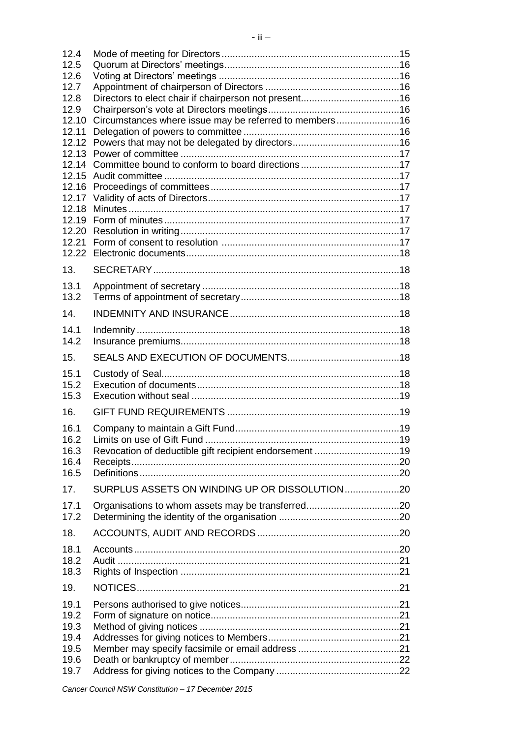| 12.4           |                                                        |  |
|----------------|--------------------------------------------------------|--|
| 12.5           |                                                        |  |
| 12.6           |                                                        |  |
| 12.7           |                                                        |  |
| 12.8           |                                                        |  |
| 12.9           |                                                        |  |
| 12.10          | Circumstances where issue may be referred to members16 |  |
| 12.11          |                                                        |  |
| 12.12          |                                                        |  |
|                |                                                        |  |
| 12.14<br>12.15 | Committee bound to conform to board directions17       |  |
| 12.16          |                                                        |  |
| 12.17          |                                                        |  |
| 12.18          |                                                        |  |
| 12.19          |                                                        |  |
|                |                                                        |  |
|                |                                                        |  |
|                |                                                        |  |
| 13.            |                                                        |  |
| 13.1           |                                                        |  |
| 13.2           |                                                        |  |
|                |                                                        |  |
| 14.            |                                                        |  |
| 14.1           |                                                        |  |
| 14.2           |                                                        |  |
| 15.            |                                                        |  |
| 15.1           |                                                        |  |
| 15.2           |                                                        |  |
| 15.3           |                                                        |  |
| 16.            |                                                        |  |
| 16.1           |                                                        |  |
| 16.2           |                                                        |  |
| 16.3           | Revocation of deductible gift recipient endorsement 19 |  |
| 16.4           |                                                        |  |
| 16.5           |                                                        |  |
| 17.            |                                                        |  |
| 17.1           |                                                        |  |
| 17.2           |                                                        |  |
| 18.            |                                                        |  |
| 18.1           |                                                        |  |
| 18.2           |                                                        |  |
| 18.3           |                                                        |  |
| 19.            |                                                        |  |
| 19.1           |                                                        |  |
| 19.2           |                                                        |  |
| 19.3           |                                                        |  |
| 19.4           |                                                        |  |
| 19.5           |                                                        |  |
| 19.6           |                                                        |  |
| 19.7           |                                                        |  |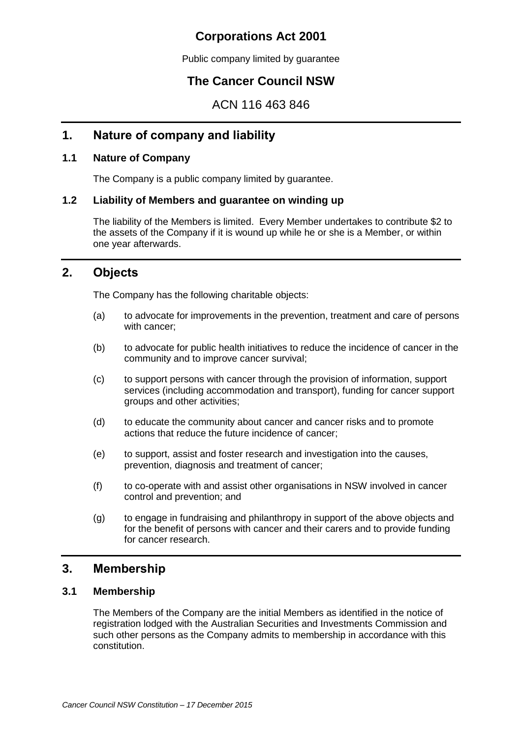# **Corporations Act 2001**

Public company limited by guarantee

# **The Cancer Council NSW**

ACN 116 463 846

# **1. Nature of company and liability**

# **1.1 Nature of Company**

The Company is a public company limited by guarantee.

# **1.2 Liability of Members and guarantee on winding up**

The liability of the Members is limited. Every Member undertakes to contribute \$2 to the assets of the Company if it is wound up while he or she is a Member, or within one year afterwards.

# <span id="page-5-0"></span>**2. Objects**

The Company has the following charitable objects:

- (a) to advocate for improvements in the prevention, treatment and care of persons with cancer;
- (b) to advocate for public health initiatives to reduce the incidence of cancer in the community and to improve cancer survival;
- (c) to support persons with cancer through the provision of information, support services (including accommodation and transport), funding for cancer support groups and other activities;
- (d) to educate the community about cancer and cancer risks and to promote actions that reduce the future incidence of cancer;
- (e) to support, assist and foster research and investigation into the causes, prevention, diagnosis and treatment of cancer;
- (f) to co-operate with and assist other organisations in NSW involved in cancer control and prevention; and
- (g) to engage in fundraising and philanthropy in support of the above objects and for the benefit of persons with cancer and their carers and to provide funding for cancer research.

# **3. Membership**

# **3.1 Membership**

The Members of the Company are the initial Members as identified in the notice of registration lodged with the Australian Securities and Investments Commission and such other persons as the Company admits to membership in accordance with this constitution.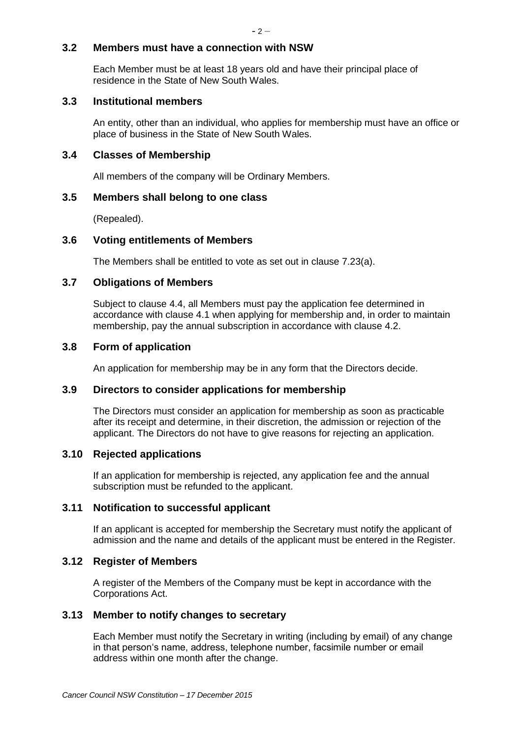# **3.2 Members must have a connection with NSW**

Each Member must be at least 18 years old and have their principal place of residence in the State of New South Wales.

# **3.3 Institutional members**

An entity, other than an individual, who applies for membership must have an office or place of business in the State of New South Wales.

# **3.4 Classes of Membership**

All members of the company will be Ordinary Members.

# **3.5 Members shall belong to one class**

(Repealed).

# **3.6 Voting entitlements of Members**

The Members shall be entitled to vote as set out in clause [7.23\(a\).](#page-13-0)

# **3.7 Obligations of Members**

Subject to clause [4.4,](#page-7-0) all Members must pay the application fee determined in accordance with clause [4.1](#page-7-1) when applying for membership and, in order to maintain membership, pay the annual subscription in accordance with clause [4.2.](#page-7-2)

# **3.8 Form of application**

An application for membership may be in any form that the Directors decide.

# **3.9 Directors to consider applications for membership**

The Directors must consider an application for membership as soon as practicable after its receipt and determine, in their discretion, the admission or rejection of the applicant. The Directors do not have to give reasons for rejecting an application.

# **3.10 Rejected applications**

If an application for membership is rejected, any application fee and the annual subscription must be refunded to the applicant.

# **3.11 Notification to successful applicant**

If an applicant is accepted for membership the Secretary must notify the applicant of admission and the name and details of the applicant must be entered in the Register.

# **3.12 Register of Members**

A register of the Members of the Company must be kept in accordance with the Corporations Act.

# **3.13 Member to notify changes to secretary**

Each Member must notify the Secretary in writing (including by email) of any change in that person's name, address, telephone number, facsimile number or email address within one month after the change.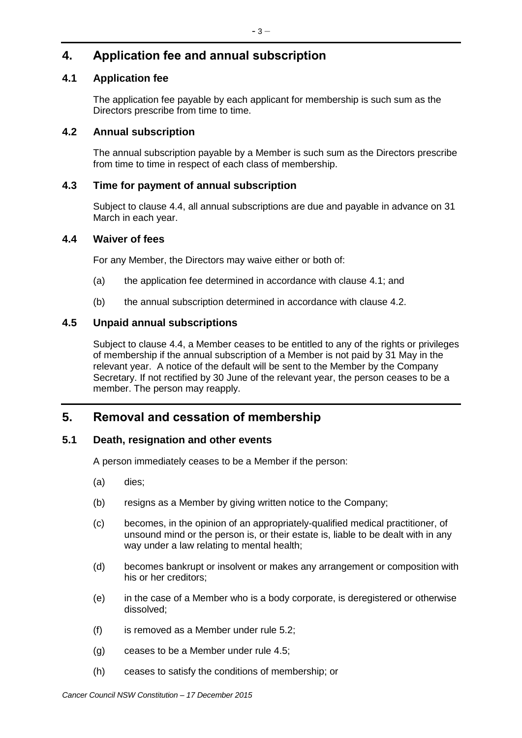# **4. Application fee and annual subscription**

# <span id="page-7-1"></span>**4.1 Application fee**

The application fee payable by each applicant for membership is such sum as the Directors prescribe from time to time.

# <span id="page-7-2"></span>**4.2 Annual subscription**

The annual subscription payable by a Member is such sum as the Directors prescribe from time to time in respect of each class of membership.

# **4.3 Time for payment of annual subscription**

Subject to clause [4.4,](#page-7-0) all annual subscriptions are due and payable in advance on 31 March in each year.

# <span id="page-7-0"></span>**4.4 Waiver of fees**

For any Member, the Directors may waive either or both of:

- (a) the application fee determined in accordance with clause [4.1;](#page-7-1) and
- (b) the annual subscription determined in accordance with clause [4.2.](#page-7-2)

# <span id="page-7-3"></span>**4.5 Unpaid annual subscriptions**

Subject to clause [4.4,](#page-7-0) a Member ceases to be entitled to any of the rights or privileges of membership if the annual subscription of a Member is not paid by 31 May in the relevant year. A notice of the default will be sent to the Member by the Company Secretary. If not rectified by 30 June of the relevant year, the person ceases to be a member. The person may reapply.

# **5. Removal and cessation of membership**

# **5.1 Death, resignation and other events**

A person immediately ceases to be a Member if the person:

- (a) dies;
- (b) resigns as a Member by giving written notice to the Company;
- (c) becomes, in the opinion of an appropriately-qualified medical practitioner, of unsound mind or the person is, or their estate is, liable to be dealt with in any way under a law relating to mental health;
- (d) becomes bankrupt or insolvent or makes any arrangement or composition with his or her creditors;
- (e) in the case of a Member who is a body corporate, is deregistered or otherwise dissolved;
- (f) is removed as a Member under rule [5.2;](#page-8-0)
- (g) ceases to be a Member under rule [4.5;](#page-7-3)
- (h) ceases to satisfy the conditions of membership; or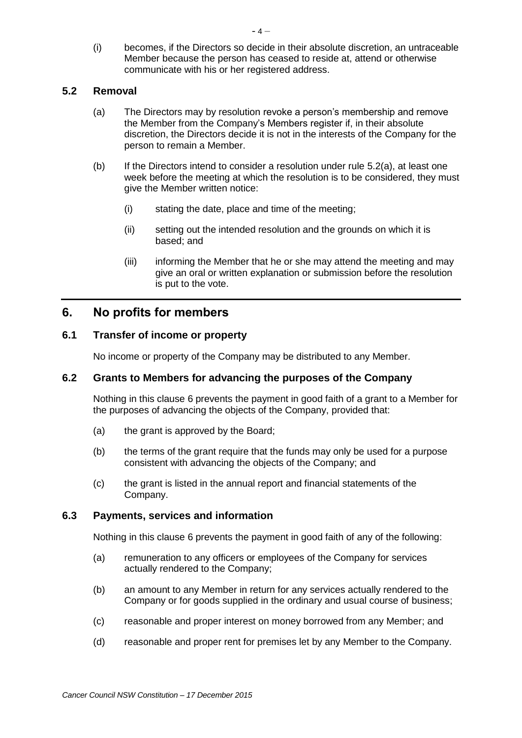(i) becomes, if the Directors so decide in their absolute discretion, an untraceable Member because the person has ceased to reside at, attend or otherwise communicate with his or her registered address.

# <span id="page-8-1"></span><span id="page-8-0"></span>**5.2 Removal**

- (a) The Directors may by resolution revoke a person's membership and remove the Member from the Company's Members register if, in their absolute discretion, the Directors decide it is not in the interests of the Company for the person to remain a Member.
- (b) If the Directors intend to consider a resolution under rule  $5.2(a)$ , at least one week before the meeting at which the resolution is to be considered, they must give the Member written notice:
	- (i) stating the date, place and time of the meeting;
	- (ii) setting out the intended resolution and the grounds on which it is based; and
	- (iii) informing the Member that he or she may attend the meeting and may give an oral or written explanation or submission before the resolution is put to the vote.

# <span id="page-8-2"></span>**6. No profits for members**

# **6.1 Transfer of income or property**

No income or property of the Company may be distributed to any Member.

# **6.2 Grants to Members for advancing the purposes of the Company**

Nothing in this clause [6](#page-8-2) prevents the payment in good faith of a grant to a Member for the purposes of advancing the objects of the Company, provided that:

- (a) the grant is approved by the Board;
- (b) the terms of the grant require that the funds may only be used for a purpose consistent with advancing the objects of the Company; and
- (c) the grant is listed in the annual report and financial statements of the Company.

# **6.3 Payments, services and information**

Nothing in this clause [6](#page-8-2) prevents the payment in good faith of any of the following:

- (a) remuneration to any officers or employees of the Company for services actually rendered to the Company;
- (b) an amount to any Member in return for any services actually rendered to the Company or for goods supplied in the ordinary and usual course of business;
- (c) reasonable and proper interest on money borrowed from any Member; and
- (d) reasonable and proper rent for premises let by any Member to the Company.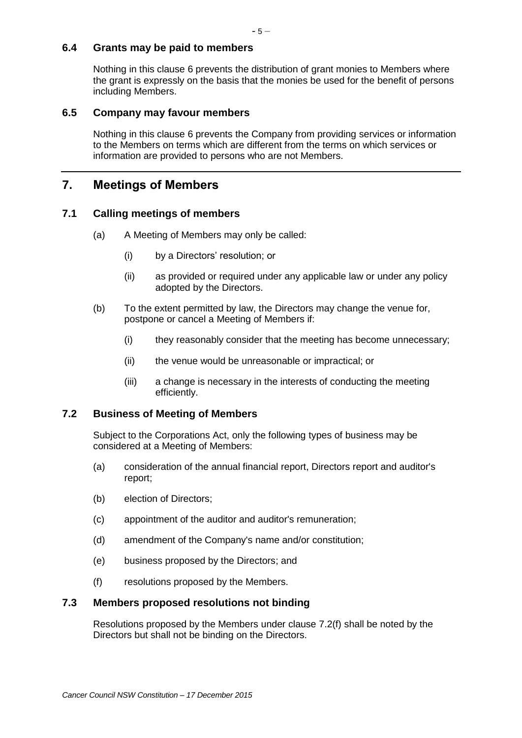# **6.4 Grants may be paid to members**

Nothing in this clause [6](#page-8-2) prevents the distribution of grant monies to Members where the grant is expressly on the basis that the monies be used for the benefit of persons including Members.

# **6.5 Company may favour members**

Nothing in this clause [6](#page-8-2) prevents the Company from providing services or information to the Members on terms which are different from the terms on which services or information are provided to persons who are not Members.

# **7. Meetings of Members**

# **7.1 Calling meetings of members**

- (a) A Meeting of Members may only be called:
	- (i) by a Directors' resolution; or
	- (ii) as provided or required under any applicable law or under any policy adopted by the Directors.
- (b) To the extent permitted by law, the Directors may change the venue for, postpone or cancel a Meeting of Members if:
	- (i) they reasonably consider that the meeting has become unnecessary;
	- (ii) the venue would be unreasonable or impractical; or
	- (iii) a change is necessary in the interests of conducting the meeting efficiently.

# **7.2 Business of Meeting of Members**

Subject to the Corporations Act, only the following types of business may be considered at a Meeting of Members:

- (a) consideration of the annual financial report, Directors report and auditor's report;
- (b) election of Directors;
- (c) appointment of the auditor and auditor's remuneration;
- (d) amendment of the Company's name and/or constitution;
- (e) business proposed by the Directors; and
- (f) resolutions proposed by the Members.

# <span id="page-9-0"></span>**7.3 Members proposed resolutions not binding**

Resolutions proposed by the Members under clause [7.2\(f\)](#page-9-0) shall be noted by the Directors but shall not be binding on the Directors.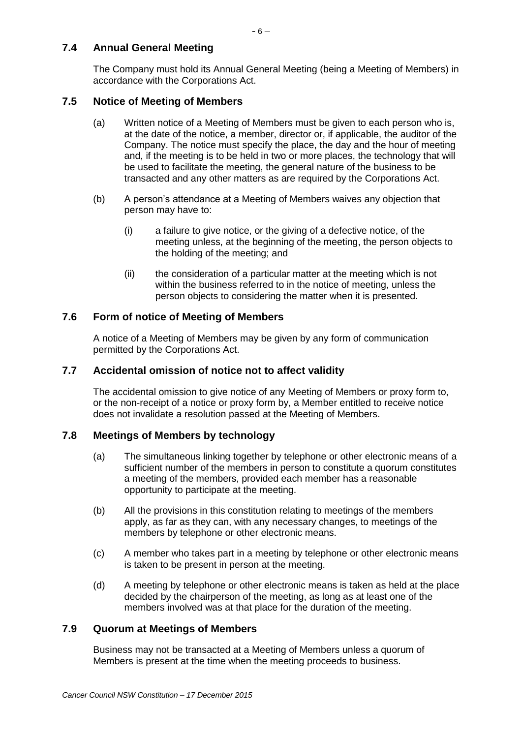# **7.4 Annual General Meeting**

The Company must hold its Annual General Meeting (being a Meeting of Members) in accordance with the Corporations Act.

# **7.5 Notice of Meeting of Members**

- (a) Written notice of a Meeting of Members must be given to each person who is, at the date of the notice, a member, director or, if applicable, the auditor of the Company. The notice must specify the place, the day and the hour of meeting and, if the meeting is to be held in two or more places, the technology that will be used to facilitate the meeting, the general nature of the business to be transacted and any other matters as are required by the Corporations Act.
- (b) A person's attendance at a Meeting of Members waives any objection that person may have to:
	- (i) a failure to give notice, or the giving of a defective notice, of the meeting unless, at the beginning of the meeting, the person objects to the holding of the meeting; and
	- (ii) the consideration of a particular matter at the meeting which is not within the business referred to in the notice of meeting, unless the person objects to considering the matter when it is presented.

# **7.6 Form of notice of Meeting of Members**

A notice of a Meeting of Members may be given by any form of communication permitted by the Corporations Act.

# **7.7 Accidental omission of notice not to affect validity**

The accidental omission to give notice of any Meeting of Members or proxy form to, or the non-receipt of a notice or proxy form by, a Member entitled to receive notice does not invalidate a resolution passed at the Meeting of Members.

# **7.8 Meetings of Members by technology**

- (a) The simultaneous linking together by telephone or other electronic means of a sufficient number of the members in person to constitute a quorum constitutes a meeting of the members, provided each member has a reasonable opportunity to participate at the meeting.
- (b) All the provisions in this constitution relating to meetings of the members apply, as far as they can, with any necessary changes, to meetings of the members by telephone or other electronic means.
- (c) A member who takes part in a meeting by telephone or other electronic means is taken to be present in person at the meeting.
- (d) A meeting by telephone or other electronic means is taken as held at the place decided by the chairperson of the meeting, as long as at least one of the members involved was at that place for the duration of the meeting.

# **7.9 Quorum at Meetings of Members**

Business may not be transacted at a Meeting of Members unless a quorum of Members is present at the time when the meeting proceeds to business.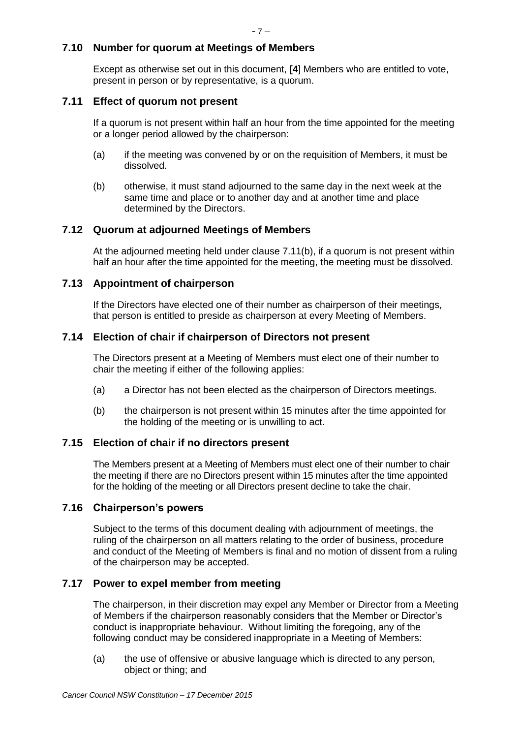# **7.10 Number for quorum at Meetings of Members**

Except as otherwise set out in this document, **[4**] Members who are entitled to vote, present in person or by representative, is a quorum.

# **7.11 Effect of quorum not present**

If a quorum is not present within half an hour from the time appointed for the meeting or a longer period allowed by the chairperson:

- (a) if the meeting was convened by or on the requisition of Members, it must be dissolved.
- <span id="page-11-0"></span>(b) otherwise, it must stand adjourned to the same day in the next week at the same time and place or to another day and at another time and place determined by the Directors.

# **7.12 Quorum at adjourned Meetings of Members**

At the adjourned meeting held under clause [7.11\(b\),](#page-11-0) if a quorum is not present within half an hour after the time appointed for the meeting, the meeting must be dissolved.

# **7.13 Appointment of chairperson**

If the Directors have elected one of their number as chairperson of their meetings, that person is entitled to preside as chairperson at every Meeting of Members.

# **7.14 Election of chair if chairperson of Directors not present**

The Directors present at a Meeting of Members must elect one of their number to chair the meeting if either of the following applies:

- (a) a Director has not been elected as the chairperson of Directors meetings.
- (b) the chairperson is not present within 15 minutes after the time appointed for the holding of the meeting or is unwilling to act.

# **7.15 Election of chair if no directors present**

The Members present at a Meeting of Members must elect one of their number to chair the meeting if there are no Directors present within 15 minutes after the time appointed for the holding of the meeting or all Directors present decline to take the chair.

# **7.16 Chairperson's powers**

Subject to the terms of this document dealing with adjournment of meetings, the ruling of the chairperson on all matters relating to the order of business, procedure and conduct of the Meeting of Members is final and no motion of dissent from a ruling of the chairperson may be accepted.

# **7.17 Power to expel member from meeting**

The chairperson, in their discretion may expel any Member or Director from a Meeting of Members if the chairperson reasonably considers that the Member or Director's conduct is inappropriate behaviour. Without limiting the foregoing, any of the following conduct may be considered inappropriate in a Meeting of Members:

(a) the use of offensive or abusive language which is directed to any person, object or thing; and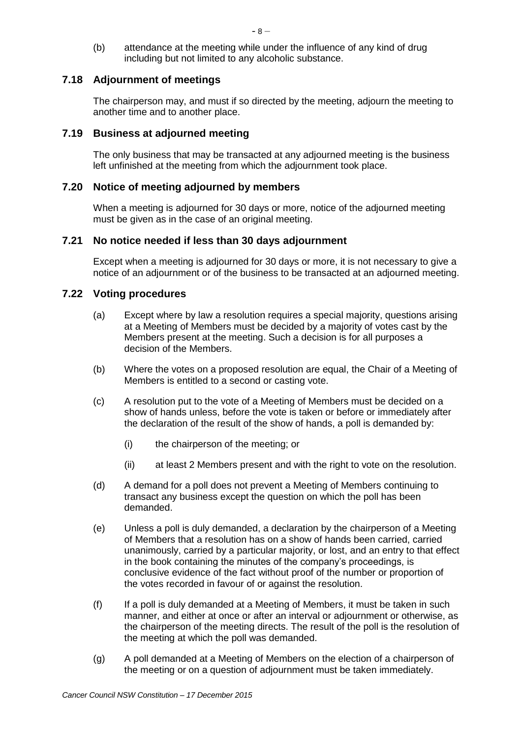(b) attendance at the meeting while under the influence of any kind of drug including but not limited to any alcoholic substance.

# **7.18 Adjournment of meetings**

The chairperson may, and must if so directed by the meeting, adjourn the meeting to another time and to another place.

# **7.19 Business at adjourned meeting**

The only business that may be transacted at any adjourned meeting is the business left unfinished at the meeting from which the adjournment took place.

# **7.20 Notice of meeting adjourned by members**

When a meeting is adjourned for 30 days or more, notice of the adjourned meeting must be given as in the case of an original meeting.

# **7.21 No notice needed if less than 30 days adjournment**

Except when a meeting is adjourned for 30 days or more, it is not necessary to give a notice of an adjournment or of the business to be transacted at an adjourned meeting.

# **7.22 Voting procedures**

- (a) Except where by law a resolution requires a special majority, questions arising at a Meeting of Members must be decided by a majority of votes cast by the Members present at the meeting. Such a decision is for all purposes a decision of the Members.
- (b) Where the votes on a proposed resolution are equal, the Chair of a Meeting of Members is entitled to a second or casting vote.
- (c) A resolution put to the vote of a Meeting of Members must be decided on a show of hands unless, before the vote is taken or before or immediately after the declaration of the result of the show of hands, a poll is demanded by:
	- (i) the chairperson of the meeting; or
	- (ii) at least 2 Members present and with the right to vote on the resolution.
- (d) A demand for a poll does not prevent a Meeting of Members continuing to transact any business except the question on which the poll has been demanded.
- (e) Unless a poll is duly demanded, a declaration by the chairperson of a Meeting of Members that a resolution has on a show of hands been carried, carried unanimously, carried by a particular majority, or lost, and an entry to that effect in the book containing the minutes of the company's proceedings, is conclusive evidence of the fact without proof of the number or proportion of the votes recorded in favour of or against the resolution.
- (f) If a poll is duly demanded at a Meeting of Members, it must be taken in such manner, and either at once or after an interval or adjournment or otherwise, as the chairperson of the meeting directs. The result of the poll is the resolution of the meeting at which the poll was demanded.
- (g) A poll demanded at a Meeting of Members on the election of a chairperson of the meeting or on a question of adjournment must be taken immediately.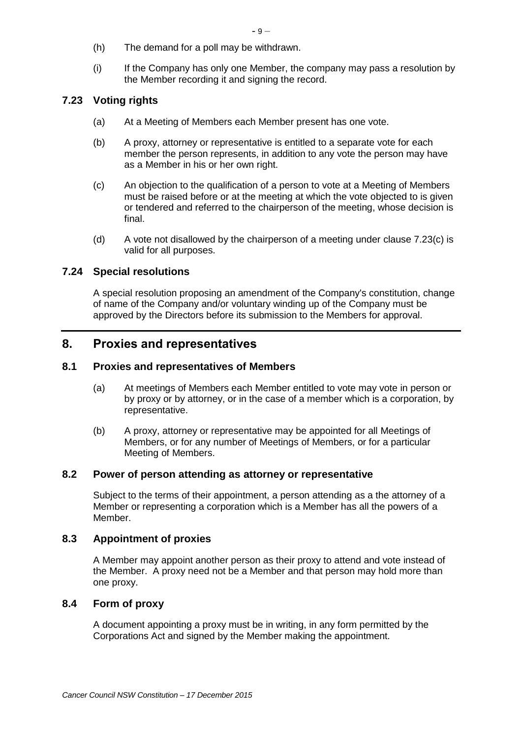- (h) The demand for a poll may be withdrawn.
- (i) If the Company has only one Member, the company may pass a resolution by the Member recording it and signing the record.

# <span id="page-13-0"></span>**7.23 Voting rights**

- (a) At a Meeting of Members each Member present has one vote.
- (b) A proxy, attorney or representative is entitled to a separate vote for each member the person represents, in addition to any vote the person may have as a Member in his or her own right.
- <span id="page-13-1"></span>(c) An objection to the qualification of a person to vote at a Meeting of Members must be raised before or at the meeting at which the vote objected to is given or tendered and referred to the chairperson of the meeting, whose decision is final.
- (d) A vote not disallowed by the chairperson of a meeting under clause [7.23\(c\)](#page-13-1) is valid for all purposes.

# **7.24 Special resolutions**

A special resolution proposing an amendment of the Company's constitution, change of name of the Company and/or voluntary winding up of the Company must be approved by the Directors before its submission to the Members for approval.

# **8. Proxies and representatives**

#### **8.1 Proxies and representatives of Members**

- (a) At meetings of Members each Member entitled to vote may vote in person or by proxy or by attorney, or in the case of a member which is a corporation, by representative.
- (b) A proxy, attorney or representative may be appointed for all Meetings of Members, or for any number of Meetings of Members, or for a particular Meeting of Members.

#### **8.2 Power of person attending as attorney or representative**

Subject to the terms of their appointment, a person attending as a the attorney of a Member or representing a corporation which is a Member has all the powers of a Member.

# **8.3 Appointment of proxies**

A Member may appoint another person as their proxy to attend and vote instead of the Member. A proxy need not be a Member and that person may hold more than one proxy.

# **8.4 Form of proxy**

A document appointing a proxy must be in writing, in any form permitted by the Corporations Act and signed by the Member making the appointment.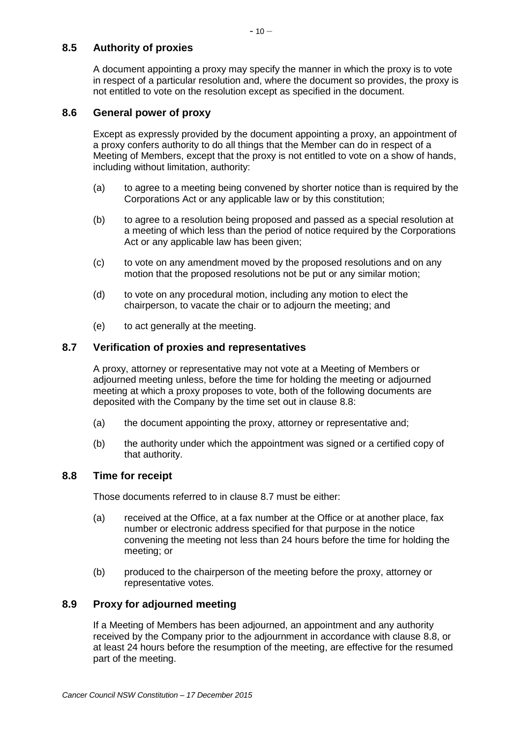# **8.5 Authority of proxies**

A document appointing a proxy may specify the manner in which the proxy is to vote in respect of a particular resolution and, where the document so provides, the proxy is not entitled to vote on the resolution except as specified in the document.

# **8.6 General power of proxy**

Except as expressly provided by the document appointing a proxy, an appointment of a proxy confers authority to do all things that the Member can do in respect of a Meeting of Members, except that the proxy is not entitled to vote on a show of hands, including without limitation, authority:

- (a) to agree to a meeting being convened by shorter notice than is required by the Corporations Act or any applicable law or by this constitution;
- (b) to agree to a resolution being proposed and passed as a special resolution at a meeting of which less than the period of notice required by the Corporations Act or any applicable law has been given;
- (c) to vote on any amendment moved by the proposed resolutions and on any motion that the proposed resolutions not be put or any similar motion;
- (d) to vote on any procedural motion, including any motion to elect the chairperson, to vacate the chair or to adjourn the meeting; and
- (e) to act generally at the meeting.

# <span id="page-14-1"></span>**8.7 Verification of proxies and representatives**

A proxy, attorney or representative may not vote at a Meeting of Members or adjourned meeting unless, before the time for holding the meeting or adjourned meeting at which a proxy proposes to vote, both of the following documents are deposited with the Company by the time set out in clause [8.8:](#page-14-0)

- (a) the document appointing the proxy, attorney or representative and;
- (b) the authority under which the appointment was signed or a certified copy of that authority.

# <span id="page-14-0"></span>**8.8 Time for receipt**

Those documents referred to in clause [8.7](#page-14-1) must be either:

- (a) received at the Office, at a fax number at the Office or at another place, fax number or electronic address specified for that purpose in the notice convening the meeting not less than 24 hours before the time for holding the meeting; or
- (b) produced to the chairperson of the meeting before the proxy, attorney or representative votes.

# **8.9 Proxy for adjourned meeting**

If a Meeting of Members has been adjourned, an appointment and any authority received by the Company prior to the adjournment in accordance with clause [8.8,](#page-14-0) or at least 24 hours before the resumption of the meeting, are effective for the resumed part of the meeting.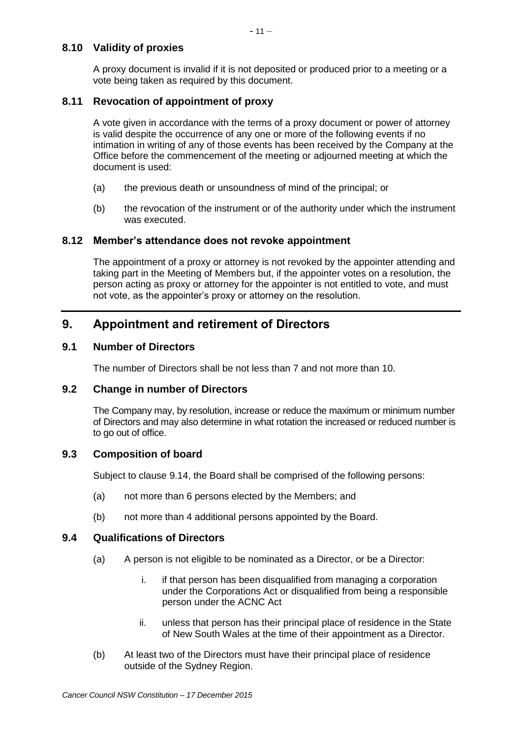# **8.10 Validity of proxies**

A proxy document is invalid if it is not deposited or produced prior to a meeting or a vote being taken as required by this document.

# **8.11 Revocation of appointment of proxy**

A vote given in accordance with the terms of a proxy document or power of attorney is valid despite the occurrence of any one or more of the following events if no intimation in writing of any of those events has been received by the Company at the Office before the commencement of the meeting or adjourned meeting at which the document is used:

- (a) the previous death or unsoundness of mind of the principal; or
- (b) the revocation of the instrument or of the authority under which the instrument was executed.

# **8.12 Member's attendance does not revoke appointment**

The appointment of a proxy or attorney is not revoked by the appointer attending and taking part in the Meeting of Members but, if the appointer votes on a resolution, the person acting as proxy or attorney for the appointer is not entitled to vote, and must not vote, as the appointer's proxy or attorney on the resolution.

# **9. Appointment and retirement of Directors**

# **9.1 Number of Directors**

The number of Directors shall be not less than 7 and not more than 10.

# **9.2 Change in number of Directors**

The Company may, by resolution, increase or reduce the maximum or minimum number of Directors and may also determine in what rotation the increased or reduced number is to go out of office.

# **9.3 Composition of board**

Subject to clause [9.14,](#page-17-0) the Board shall be comprised of the following persons:

- <span id="page-15-1"></span>(a) not more than 6 persons elected by the Members; and
- (b) not more than 4 additional persons appointed by the Board.

# <span id="page-15-2"></span><span id="page-15-0"></span>**9.4 Qualifications of Directors**

- (a) A person is not eligible to be nominated as a Director, or be a Director:
	- i. if that person has been disqualified from managing a corporation under the Corporations Act or disqualified from being a responsible person under the ACNC Act
	- ii. unless that person has their principal place of residence in the State of New South Wales at the time of their appointment as a Director.
- (b) At least two of the Directors must have their principal place of residence outside of the Sydney Region.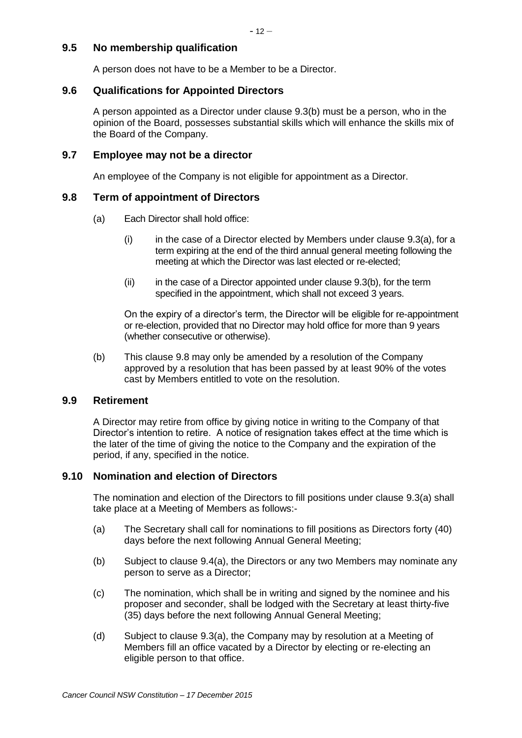# **9.5 No membership qualification**

A person does not have to be a Member to be a Director.

#### **9.6 Qualifications for Appointed Directors**

A person appointed as a Director under clause [9.3\(b\)](#page-15-0) must be a person, who in the opinion of the Board, possesses substantial skills which will enhance the skills mix of the Board of the Company.

#### <span id="page-16-1"></span>**9.7 Employee may not be a director**

An employee of the Company is not eligible for appointment as a Director.

# <span id="page-16-0"></span>**9.8 Term of appointment of Directors**

- (a) Each Director shall hold office:
	- $(i)$  in the case of a Director elected by Members under clause [9.3\(a\),](#page-15-1) for a term expiring at the end of the third annual general meeting following the meeting at which the Director was last elected or re-elected;
	- $(iii)$  in the case of a Director appointed under clause [9.3\(b\),](#page-15-0) for the term specified in the appointment, which shall not exceed 3 years.

On the expiry of a director's term, the Director will be eligible for re-appointment or re-election, provided that no Director may hold office for more than 9 years (whether consecutive or otherwise).

(b) This clause [9.8](#page-16-0) may only be amended by a resolution of the Company approved by a resolution that has been passed by at least 90% of the votes cast by Members entitled to vote on the resolution.

#### **9.9 Retirement**

A Director may retire from office by giving notice in writing to the Company of that Director's intention to retire. A notice of resignation takes effect at the time which is the later of the time of giving the notice to the Company and the expiration of the period, if any, specified in the notice.

# **9.10 Nomination and election of Directors**

The nomination and election of the Directors to fill positions under clause [9.3\(a\)](#page-15-1) shall take place at a Meeting of Members as follows:-

- (a) The Secretary shall call for nominations to fill positions as Directors forty (40) days before the next following Annual General Meeting;
- (b) Subject to clause [9.4\(a\),](#page-15-2) the Directors or any two Members may nominate any person to serve as a Director;
- (c) The nomination, which shall be in writing and signed by the nominee and his proposer and seconder, shall be lodged with the Secretary at least thirty-five (35) days before the next following Annual General Meeting;
- (d) Subject to clause [9.3\(a\),](#page-15-1) the Company may by resolution at a Meeting of Members fill an office vacated by a Director by electing or re-electing an eligible person to that office.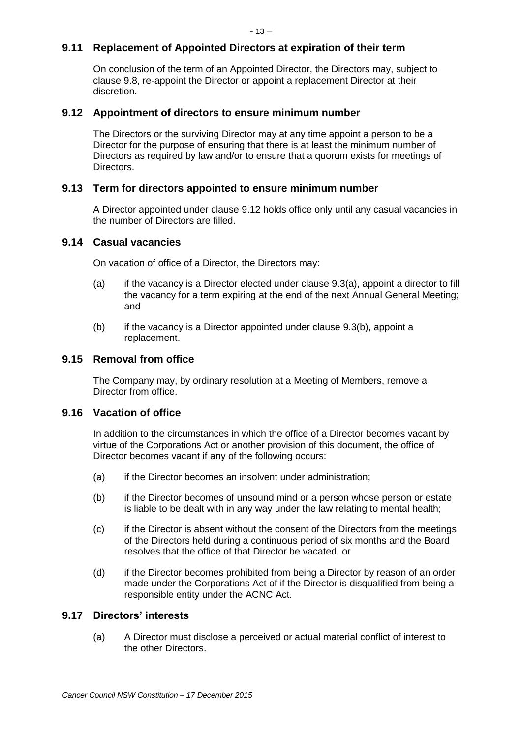# **9.11 Replacement of Appointed Directors at expiration of their term**

On conclusion of the term of an Appointed Director, the Directors may, subject to clause [9.8,](#page-16-0) re-appoint the Director or appoint a replacement Director at their discretion.

#### <span id="page-17-1"></span>**9.12 Appointment of directors to ensure minimum number**

The Directors or the surviving Director may at any time appoint a person to be a Director for the purpose of ensuring that there is at least the minimum number of Directors as required by law and/or to ensure that a quorum exists for meetings of Directors.

# **9.13 Term for directors appointed to ensure minimum number**

A Director appointed under clause [9.12](#page-17-1) holds office only until any casual vacancies in the number of Directors are filled.

#### <span id="page-17-0"></span>**9.14 Casual vacancies**

On vacation of office of a Director, the Directors may:

- (a) if the vacancy is a Director elected under clause [9.3\(a\),](#page-15-1) appoint a director to fill the vacancy for a term expiring at the end of the next Annual General Meeting; and
- (b) if the vacancy is a Director appointed under clause [9.3\(b\),](#page-15-0) appoint a replacement.

#### **9.15 Removal from office**

The Company may, by ordinary resolution at a Meeting of Members, remove a Director from office.

#### **9.16 Vacation of office**

In addition to the circumstances in which the office of a Director becomes vacant by virtue of the Corporations Act or another provision of this document, the office of Director becomes vacant if any of the following occurs:

- (a) if the Director becomes an insolvent under administration;
- (b) if the Director becomes of unsound mind or a person whose person or estate is liable to be dealt with in any way under the law relating to mental health;
- (c) if the Director is absent without the consent of the Directors from the meetings of the Directors held during a continuous period of six months and the Board resolves that the office of that Director be vacated; or
- (d) if the Director becomes prohibited from being a Director by reason of an order made under the Corporations Act of if the Director is disqualified from being a responsible entity under the ACNC Act.

# **9.17 Directors' interests**

(a) A Director must disclose a perceived or actual material conflict of interest to the other Directors.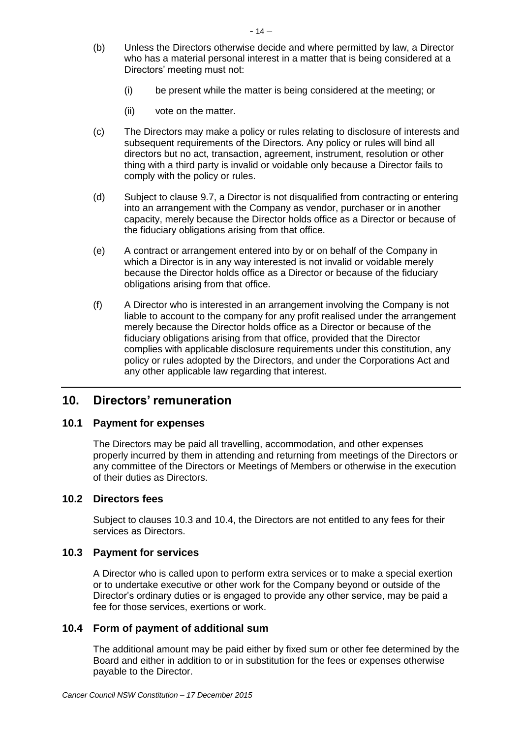- (b) Unless the Directors otherwise decide and where permitted by law, a Director who has a material personal interest in a matter that is being considered at a Directors' meeting must not:
	- (i) be present while the matter is being considered at the meeting; or
	- (ii) vote on the matter.
- (c) The Directors may make a policy or rules relating to disclosure of interests and subsequent requirements of the Directors. Any policy or rules will bind all directors but no act, transaction, agreement, instrument, resolution or other thing with a third party is invalid or voidable only because a Director fails to comply with the policy or rules.
- (d) Subject to clause [9.7,](#page-16-1) a Director is not disqualified from contracting or entering into an arrangement with the Company as vendor, purchaser or in another capacity, merely because the Director holds office as a Director or because of the fiduciary obligations arising from that office.
- (e) A contract or arrangement entered into by or on behalf of the Company in which a Director is in any way interested is not invalid or voidable merely because the Director holds office as a Director or because of the fiduciary obligations arising from that office.
- (f) A Director who is interested in an arrangement involving the Company is not liable to account to the company for any profit realised under the arrangement merely because the Director holds office as a Director or because of the fiduciary obligations arising from that office, provided that the Director complies with applicable disclosure requirements under this constitution, any policy or rules adopted by the Directors, and under the Corporations Act and any other applicable law regarding that interest.

# **10. Directors' remuneration**

#### **10.1 Payment for expenses**

The Directors may be paid all travelling, accommodation, and other expenses properly incurred by them in attending and returning from meetings of the Directors or any committee of the Directors or Meetings of Members or otherwise in the execution of their duties as Directors.

# **10.2 Directors fees**

Subject to clauses [10.3](#page-18-0) and [10.4,](#page-18-1) the Directors are not entitled to any fees for their services as Directors.

#### <span id="page-18-0"></span>**10.3 Payment for services**

A Director who is called upon to perform extra services or to make a special exertion or to undertake executive or other work for the Company beyond or outside of the Director's ordinary duties or is engaged to provide any other service, may be paid a fee for those services, exertions or work.

#### <span id="page-18-1"></span>**10.4 Form of payment of additional sum**

The additional amount may be paid either by fixed sum or other fee determined by the Board and either in addition to or in substitution for the fees or expenses otherwise payable to the Director.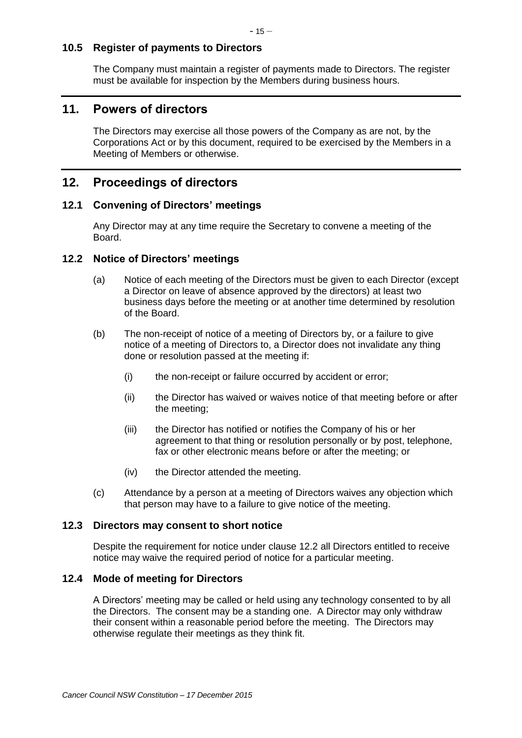# **10.5 Register of payments to Directors**

The Company must maintain a register of payments made to Directors. The register must be available for inspection by the Members during business hours.

# **11. Powers of directors**

The Directors may exercise all those powers of the Company as are not, by the Corporations Act or by this document, required to be exercised by the Members in a Meeting of Members or otherwise.

# **12. Proceedings of directors**

#### **12.1 Convening of Directors' meetings**

Any Director may at any time require the Secretary to convene a meeting of the Board.

#### <span id="page-19-0"></span>**12.2 Notice of Directors' meetings**

- (a) Notice of each meeting of the Directors must be given to each Director (except a Director on leave of absence approved by the directors) at least two business days before the meeting or at another time determined by resolution of the Board.
- (b) The non-receipt of notice of a meeting of Directors by, or a failure to give notice of a meeting of Directors to, a Director does not invalidate any thing done or resolution passed at the meeting if:
	- (i) the non-receipt or failure occurred by accident or error;
	- (ii) the Director has waived or waives notice of that meeting before or after the meeting;
	- (iii) the Director has notified or notifies the Company of his or her agreement to that thing or resolution personally or by post, telephone, fax or other electronic means before or after the meeting; or
	- (iv) the Director attended the meeting.
- (c) Attendance by a person at a meeting of Directors waives any objection which that person may have to a failure to give notice of the meeting.

#### **12.3 Directors may consent to short notice**

Despite the requirement for notice under clause [12.2](#page-19-0) all Directors entitled to receive notice may waive the required period of notice for a particular meeting.

#### **12.4 Mode of meeting for Directors**

A Directors' meeting may be called or held using any technology consented to by all the Directors. The consent may be a standing one. A Director may only withdraw their consent within a reasonable period before the meeting. The Directors may otherwise regulate their meetings as they think fit.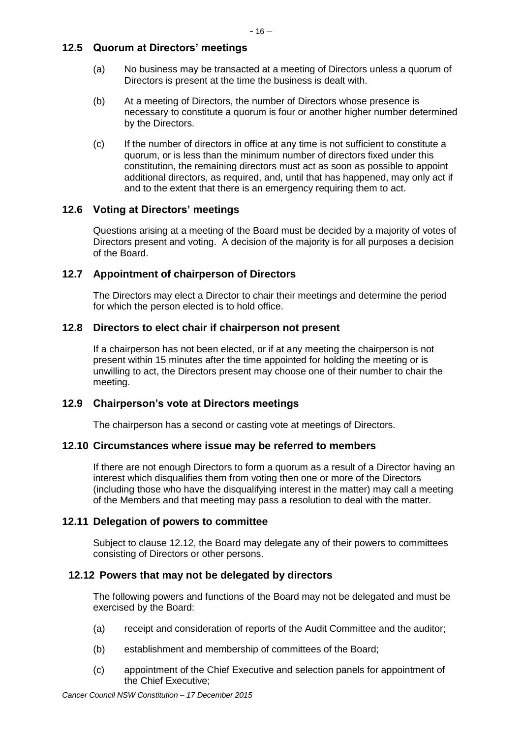# **12.5 Quorum at Directors' meetings**

- (a) No business may be transacted at a meeting of Directors unless a quorum of Directors is present at the time the business is dealt with.
- (b) At a meeting of Directors, the number of Directors whose presence is necessary to constitute a quorum is four or another higher number determined by the Directors.
- (c) If the number of directors in office at any time is not sufficient to constitute a quorum, or is less than the minimum number of directors fixed under this constitution, the remaining directors must act as soon as possible to appoint additional directors, as required, and, until that has happened, may only act if and to the extent that there is an emergency requiring them to act.

# **12.6 Voting at Directors' meetings**

Questions arising at a meeting of the Board must be decided by a majority of votes of Directors present and voting. A decision of the majority is for all purposes a decision of the Board.

# **12.7 Appointment of chairperson of Directors**

The Directors may elect a Director to chair their meetings and determine the period for which the person elected is to hold office.

# **12.8 Directors to elect chair if chairperson not present**

If a chairperson has not been elected, or if at any meeting the chairperson is not present within 15 minutes after the time appointed for holding the meeting or is unwilling to act, the Directors present may choose one of their number to chair the meeting.

# **12.9 Chairperson's vote at Directors meetings**

The chairperson has a second or casting vote at meetings of Directors.

# **12.10 Circumstances where issue may be referred to members**

If there are not enough Directors to form a quorum as a result of a Director having an interest which disqualifies them from voting then one or more of the Directors (including those who have the disqualifying interest in the matter) may call a meeting of the Members and that meeting may pass a resolution to deal with the matter.

# **12.11 Delegation of powers to committee**

Subject to clause [12.12,](#page-20-0) the Board may delegate any of their powers to committees consisting of Directors or other persons.

# <span id="page-20-0"></span>**12.12 Powers that may not be delegated by directors**

The following powers and functions of the Board may not be delegated and must be exercised by the Board:

- (a) receipt and consideration of reports of the Audit Committee and the auditor;
- (b) establishment and membership of committees of the Board;
- (c) appointment of the Chief Executive and selection panels for appointment of the Chief Executive;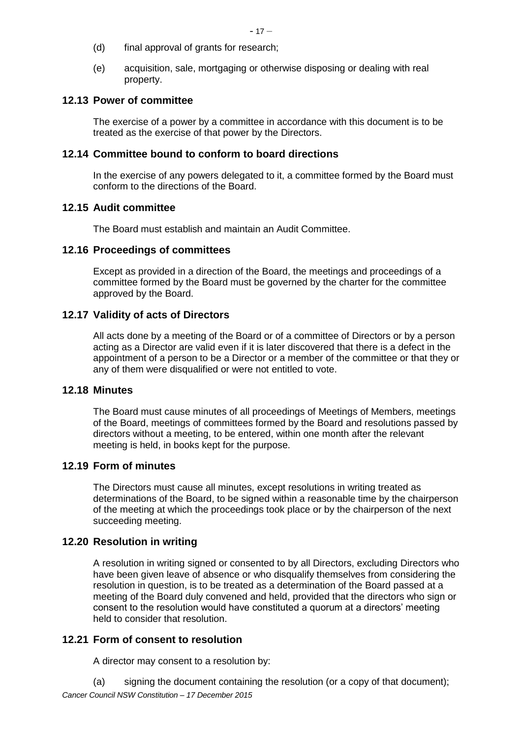- (d) final approval of grants for research;
- (e) acquisition, sale, mortgaging or otherwise disposing or dealing with real property.

# **12.13 Power of committee**

The exercise of a power by a committee in accordance with this document is to be treated as the exercise of that power by the Directors.

# **12.14 Committee bound to conform to board directions**

In the exercise of any powers delegated to it, a committee formed by the Board must conform to the directions of the Board.

# **12.15 Audit committee**

The Board must establish and maintain an Audit Committee.

# **12.16 Proceedings of committees**

Except as provided in a direction of the Board, the meetings and proceedings of a committee formed by the Board must be governed by the charter for the committee approved by the Board.

# **12.17 Validity of acts of Directors**

All acts done by a meeting of the Board or of a committee of Directors or by a person acting as a Director are valid even if it is later discovered that there is a defect in the appointment of a person to be a Director or a member of the committee or that they or any of them were disqualified or were not entitled to vote.

# **12.18 Minutes**

The Board must cause minutes of all proceedings of Meetings of Members, meetings of the Board, meetings of committees formed by the Board and resolutions passed by directors without a meeting, to be entered, within one month after the relevant meeting is held, in books kept for the purpose.

# **12.19 Form of minutes**

The Directors must cause all minutes, except resolutions in writing treated as determinations of the Board, to be signed within a reasonable time by the chairperson of the meeting at which the proceedings took place or by the chairperson of the next succeeding meeting.

# **12.20 Resolution in writing**

A resolution in writing signed or consented to by all Directors, excluding Directors who have been given leave of absence or who disqualify themselves from considering the resolution in question, is to be treated as a determination of the Board passed at a meeting of the Board duly convened and held, provided that the directors who sign or consent to the resolution would have constituted a quorum at a directors' meeting held to consider that resolution.

# **12.21 Form of consent to resolution**

A director may consent to a resolution by:

*Cancer Council NSW Constitution – 17 December 2015* (a) signing the document containing the resolution (or a copy of that document);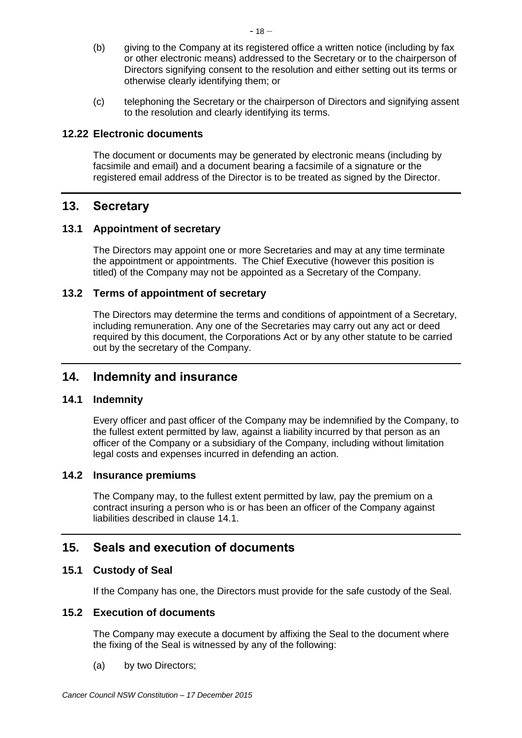- (b) giving to the Company at its registered office a written notice (including by fax or other electronic means) addressed to the Secretary or to the chairperson of Directors signifying consent to the resolution and either setting out its terms or otherwise clearly identifying them; or
- (c) telephoning the Secretary or the chairperson of Directors and signifying assent to the resolution and clearly identifying its terms.

# **12.22 Electronic documents**

The document or documents may be generated by electronic means (including by facsimile and email) and a document bearing a facsimile of a signature or the registered email address of the Director is to be treated as signed by the Director.

# **13. Secretary**

# **13.1 Appointment of secretary**

The Directors may appoint one or more Secretaries and may at any time terminate the appointment or appointments. The Chief Executive (however this position is titled) of the Company may not be appointed as a Secretary of the Company.

# **13.2 Terms of appointment of secretary**

The Directors may determine the terms and conditions of appointment of a Secretary, including remuneration. Any one of the Secretaries may carry out any act or deed required by this document, the Corporations Act or by any other statute to be carried out by the secretary of the Company.

# **14. Indemnity and insurance**

# <span id="page-22-0"></span>**14.1 Indemnity**

Every officer and past officer of the Company may be indemnified by the Company, to the fullest extent permitted by law, against a liability incurred by that person as an officer of the Company or a subsidiary of the Company, including without limitation legal costs and expenses incurred in defending an action.

# **14.2 Insurance premiums**

The Company may, to the fullest extent permitted by law, pay the premium on a contract insuring a person who is or has been an officer of the Company against liabilities described in clause [14.1.](#page-22-0)

# **15. Seals and execution of documents**

# **15.1 Custody of Seal**

If the Company has one, the Directors must provide for the safe custody of the Seal.

# **15.2 Execution of documents**

The Company may execute a document by affixing the Seal to the document where the fixing of the Seal is witnessed by any of the following:

(a) by two Directors;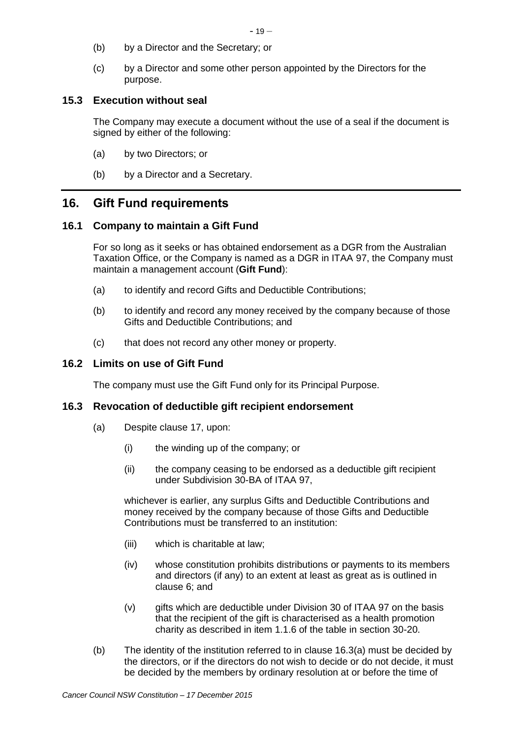- (b) by a Director and the Secretary; or
- (c) by a Director and some other person appointed by the Directors for the purpose.

# **15.3 Execution without seal**

The Company may execute a document without the use of a seal if the document is signed by either of the following:

- (a) by two Directors; or
- (b) by a Director and a Secretary.

# <span id="page-23-1"></span>**16. Gift Fund requirements**

# **16.1 Company to maintain a Gift Fund**

For so long as it seeks or has obtained endorsement as a DGR from the Australian Taxation Office, or the Company is named as a DGR in ITAA 97, the Company must maintain a management account (**Gift Fund**):

- (a) to identify and record Gifts and Deductible Contributions;
- (b) to identify and record any money received by the company because of those Gifts and Deductible Contributions; and
- (c) that does not record any other money or property.

# **16.2 Limits on use of Gift Fund**

The company must use the Gift Fund only for its Principal Purpose.

# <span id="page-23-2"></span><span id="page-23-0"></span>**16.3 Revocation of deductible gift recipient endorsement**

- (a) Despite clause [17,](#page-24-0) upon:
	- (i) the winding up of the company; or
	- (ii) the company ceasing to be endorsed as a deductible gift recipient under Subdivision 30-BA of ITAA 97,

whichever is earlier, any surplus Gifts and Deductible Contributions and money received by the company because of those Gifts and Deductible Contributions must be transferred to an institution:

- (iii) which is charitable at law;
- (iv) whose constitution prohibits distributions or payments to its members and directors (if any) to an extent at least as great as is outlined in clause [6;](#page-8-2) and
- (v) gifts which are deductible under Division 30 of ITAA 97 on the basis that the recipient of the gift is characterised as a health promotion charity as described in item 1.1.6 of the table in section 30-20.
- (b) The identity of the institution referred to in clause [16.3\(a\)](#page-23-0) must be decided by the directors, or if the directors do not wish to decide or do not decide, it must be decided by the members by ordinary resolution at or before the time of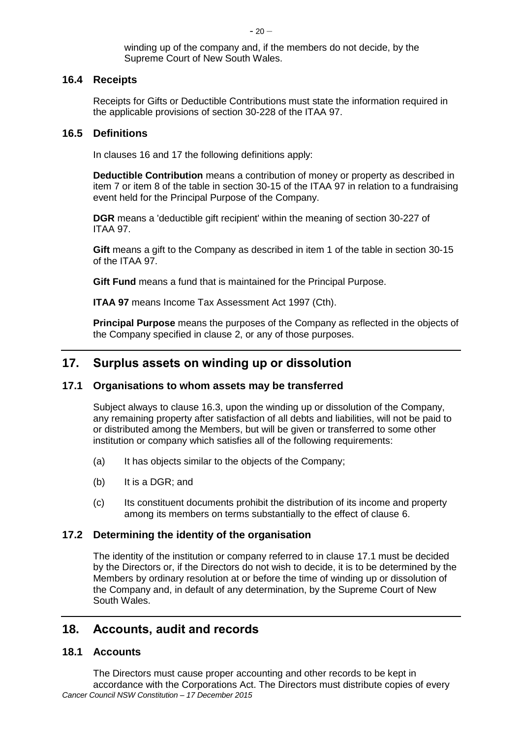winding up of the company and, if the members do not decide, by the Supreme Court of New South Wales.

# **16.4 Receipts**

Receipts for Gifts or Deductible Contributions must state the information required in the applicable provisions of section 30-228 of the ITAA 97.

#### **16.5 Definitions**

In clauses [16](#page-23-1) and [17](#page-24-0) the following definitions apply:

**Deductible Contribution** means a contribution of money or property as described in item 7 or item 8 of the table in section 30-15 of the ITAA 97 in relation to a fundraising event held for the Principal Purpose of the Company.

**DGR** means a 'deductible gift recipient' within the meaning of section 30-227 of ITAA 97.

**Gift** means a gift to the Company as described in item 1 of the table in section 30-15 of the ITAA 97.

**Gift Fund** means a fund that is maintained for the Principal Purpose.

**ITAA 97** means Income Tax Assessment Act 1997 (Cth).

**Principal Purpose** means the purposes of the Company as reflected in the objects of the Company specified in clause [2,](#page-5-0) or any of those purposes.

# <span id="page-24-0"></span>**17. Surplus assets on winding up or dissolution**

# <span id="page-24-1"></span>**17.1 Organisations to whom assets may be transferred**

Subject always to clause [16.3,](#page-23-2) upon the winding up or dissolution of the Company, any remaining property after satisfaction of all debts and liabilities, will not be paid to or distributed among the Members, but will be given or transferred to some other institution or company which satisfies all of the following requirements:

- (a) It has objects similar to the objects of the Company;
- (b) It is a DGR; and
- (c) Its constituent documents prohibit the distribution of its income and property among its members on terms substantially to the effect of clause [6.](#page-8-2)

# **17.2 Determining the identity of the organisation**

The identity of the institution or company referred to in clause [17.1](#page-24-1) must be decided by the Directors or, if the Directors do not wish to decide, it is to be determined by the Members by ordinary resolution at or before the time of winding up or dissolution of the Company and, in default of any determination, by the Supreme Court of New South Wales.

# **18. Accounts, audit and records**

# **18.1 Accounts**

*Cancer Council NSW Constitution – 17 December 2015* The Directors must cause proper accounting and other records to be kept in accordance with the Corporations Act. The Directors must distribute copies of every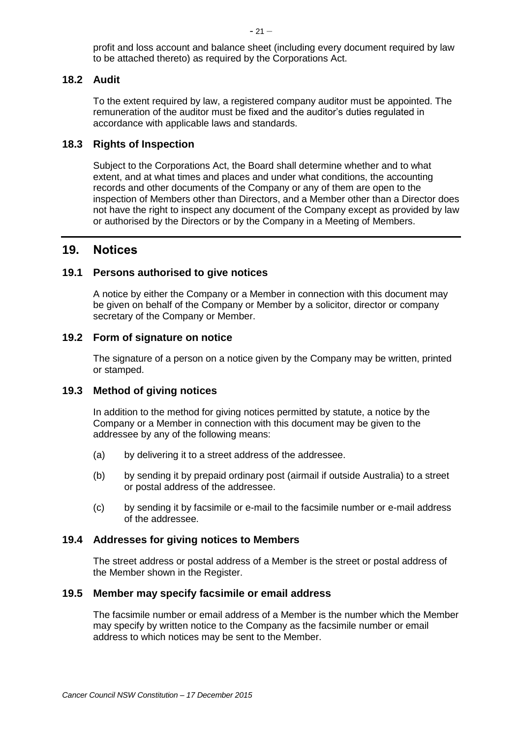profit and loss account and balance sheet (including every document required by law to be attached thereto) as required by the Corporations Act.

# **18.2 Audit**

To the extent required by law, a registered company auditor must be appointed. The remuneration of the auditor must be fixed and the auditor's duties regulated in accordance with applicable laws and standards.

# **18.3 Rights of Inspection**

Subject to the Corporations Act, the Board shall determine whether and to what extent, and at what times and places and under what conditions, the accounting records and other documents of the Company or any of them are open to the inspection of Members other than Directors, and a Member other than a Director does not have the right to inspect any document of the Company except as provided by law or authorised by the Directors or by the Company in a Meeting of Members.

# **19. Notices**

#### **19.1 Persons authorised to give notices**

A notice by either the Company or a Member in connection with this document may be given on behalf of the Company or Member by a solicitor, director or company secretary of the Company or Member.

#### **19.2 Form of signature on notice**

The signature of a person on a notice given by the Company may be written, printed or stamped.

#### **19.3 Method of giving notices**

In addition to the method for giving notices permitted by statute, a notice by the Company or a Member in connection with this document may be given to the addressee by any of the following means:

- (a) by delivering it to a street address of the addressee.
- (b) by sending it by prepaid ordinary post (airmail if outside Australia) to a street or postal address of the addressee.
- (c) by sending it by facsimile or e-mail to the facsimile number or e-mail address of the addressee.

#### **19.4 Addresses for giving notices to Members**

The street address or postal address of a Member is the street or postal address of the Member shown in the Register.

#### **19.5 Member may specify facsimile or email address**

The facsimile number or email address of a Member is the number which the Member may specify by written notice to the Company as the facsimile number or email address to which notices may be sent to the Member.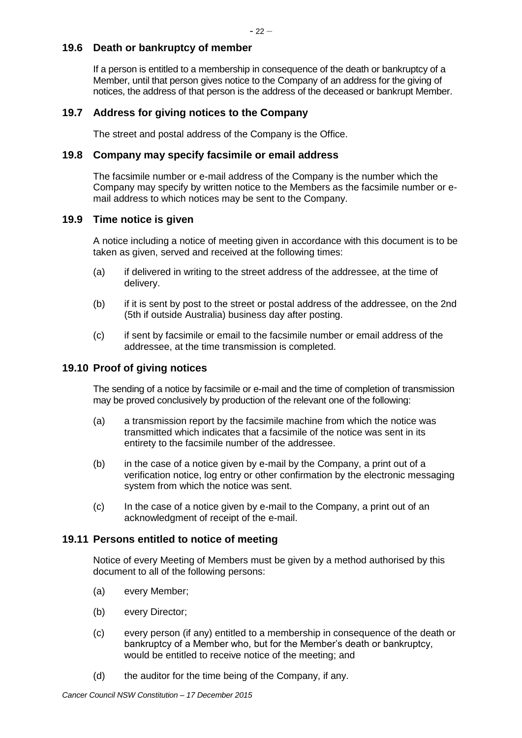# **19.6 Death or bankruptcy of member**

If a person is entitled to a membership in consequence of the death or bankruptcy of a Member, until that person gives notice to the Company of an address for the giving of notices, the address of that person is the address of the deceased or bankrupt Member.

# **19.7 Address for giving notices to the Company**

The street and postal address of the Company is the Office.

# **19.8 Company may specify facsimile or email address**

The facsimile number or e-mail address of the Company is the number which the Company may specify by written notice to the Members as the facsimile number or email address to which notices may be sent to the Company.

# **19.9 Time notice is given**

A notice including a notice of meeting given in accordance with this document is to be taken as given, served and received at the following times:

- (a) if delivered in writing to the street address of the addressee, at the time of delivery.
- (b) if it is sent by post to the street or postal address of the addressee, on the 2nd (5th if outside Australia) business day after posting.
- (c) if sent by facsimile or email to the facsimile number or email address of the addressee, at the time transmission is completed.

# **19.10 Proof of giving notices**

The sending of a notice by facsimile or e-mail and the time of completion of transmission may be proved conclusively by production of the relevant one of the following:

- (a) a transmission report by the facsimile machine from which the notice was transmitted which indicates that a facsimile of the notice was sent in its entirety to the facsimile number of the addressee.
- (b) in the case of a notice given by e-mail by the Company, a print out of a verification notice, log entry or other confirmation by the electronic messaging system from which the notice was sent.
- (c) In the case of a notice given by e-mail to the Company, a print out of an acknowledgment of receipt of the e-mail.

#### **19.11 Persons entitled to notice of meeting**

Notice of every Meeting of Members must be given by a method authorised by this document to all of the following persons:

- (a) every Member;
- (b) every Director;
- (c) every person (if any) entitled to a membership in consequence of the death or bankruptcy of a Member who, but for the Member's death or bankruptcy, would be entitled to receive notice of the meeting; and
- (d) the auditor for the time being of the Company, if any.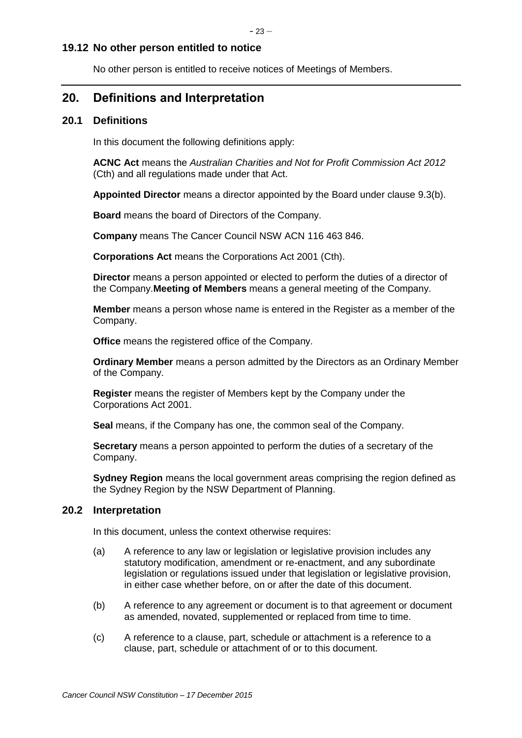#### **19.12 No other person entitled to notice**

No other person is entitled to receive notices of Meetings of Members.

# **20. Definitions and Interpretation**

# **20.1 Definitions**

In this document the following definitions apply:

**ACNC Act** means the *Australian Charities and Not for Profit Commission Act 2012* (Cth) and all regulations made under that Act.

**Appointed Director** means a director appointed by the Board under clause [9.3\(b\).](#page-15-0)

**Board** means the board of Directors of the Company.

**Company** means The Cancer Council NSW ACN 116 463 846.

**Corporations Act** means the Corporations Act 2001 (Cth).

**Director** means a person appointed or elected to perform the duties of a director of the Company.**Meeting of Members** means a general meeting of the Company.

**Member** means a person whose name is entered in the Register as a member of the Company.

**Office** means the registered office of the Company.

**Ordinary Member** means a person admitted by the Directors as an Ordinary Member of the Company.

**Register** means the register of Members kept by the Company under the Corporations Act 2001.

**Seal** means, if the Company has one, the common seal of the Company.

**Secretary** means a person appointed to perform the duties of a secretary of the Company.

**Sydney Region** means the local government areas comprising the region defined as the Sydney Region by the NSW Department of Planning.

#### **20.2 Interpretation**

In this document, unless the context otherwise requires:

- (a) A reference to any law or legislation or legislative provision includes any statutory modification, amendment or re-enactment, and any subordinate legislation or regulations issued under that legislation or legislative provision, in either case whether before, on or after the date of this document.
- (b) A reference to any agreement or document is to that agreement or document as amended, novated, supplemented or replaced from time to time.
- (c) A reference to a clause, part, schedule or attachment is a reference to a clause, part, schedule or attachment of or to this document.